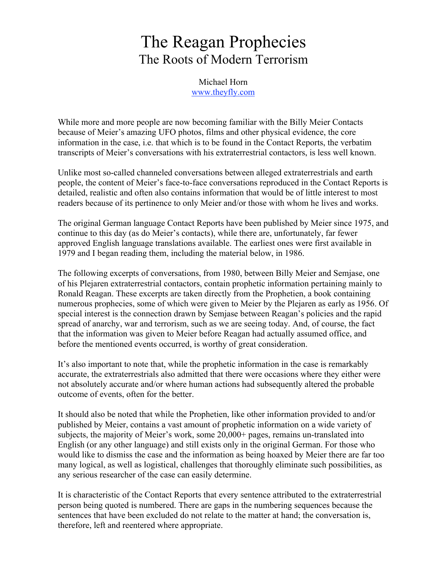# The Reagan Prophecies The Roots of Modern Terrorism

Michael Horn www.theyfly.com

While more and more people are now becoming familiar with the Billy Meier Contacts because of Meier's amazing UFO photos, films and other physical evidence, the core information in the case, i.e. that which is to be found in the Contact Reports, the verbatim transcripts of Meier's conversations with his extraterrestrial contactors, is less well known.

Unlike most so-called channeled conversations between alleged extraterrestrials and earth people, the content of Meier's face-to-face conversations reproduced in the Contact Reports is detailed, realistic and often also contains information that would be of little interest to most readers because of its pertinence to only Meier and/or those with whom he lives and works.

The original German language Contact Reports have been published by Meier since 1975, and continue to this day (as do Meier's contacts), while there are, unfortunately, far fewer approved English language translations available. The earliest ones were first available in 1979 and I began reading them, including the material below, in 1986.

The following excerpts of conversations, from 1980, between Billy Meier and Semjase, one of his Plejaren extraterrestrial contactors, contain prophetic information pertaining mainly to Ronald Reagan. These excerpts are taken directly from the Prophetien, a book containing numerous prophecies, some of which were given to Meier by the Plejaren as early as 1956. Of special interest is the connection drawn by Semjase between Reagan's policies and the rapid spread of anarchy, war and terrorism, such as we are seeing today. And, of course, the fact that the information was given to Meier before Reagan had actually assumed office, and before the mentioned events occurred, is worthy of great consideration.

It's also important to note that, while the prophetic information in the case is remarkably accurate, the extraterrestrials also admitted that there were occasions where they either were not absolutely accurate and/or where human actions had subsequently altered the probable outcome of events, often for the better.

It should also be noted that while the Prophetien, like other information provided to and/or published by Meier, contains a vast amount of prophetic information on a wide variety of subjects, the majority of Meier's work, some 20,000+ pages, remains un-translated into English (or any other language) and still exists only in the original German. For those who would like to dismiss the case and the information as being hoaxed by Meier there are far too many logical, as well as logistical, challenges that thoroughly eliminate such possibilities, as any serious researcher of the case can easily determine.

It is characteristic of the Contact Reports that every sentence attributed to the extraterrestrial person being quoted is numbered. There are gaps in the numbering sequences because the sentences that have been excluded do not relate to the matter at hand; the conversation is, therefore, left and reentered where appropriate.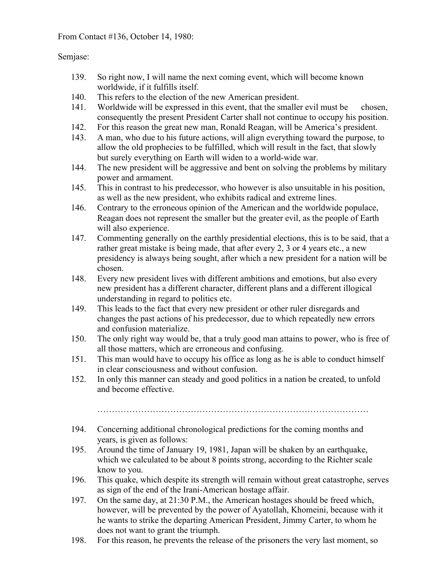From Contact #136, October 14, 1980:

# Semjase:

- 139. So right now, I will name the next coming event, which will become known worldwide, if it fulfills itself.
- 140. This refers to the election of the new American president.
- 141. Worldwide will be expressed in this event, that the smaller evil must be chosen, consequently the present President Carter shall not continue to occupy his position.
- 142. For this reason the great new man, Ronald Reagan, will be America's president.
- 143. A man, who due to his future actions, will align everything toward the purpose, to allow the old prophecies to be fulfilled, which will result in the fact, that slowly but surely everything on Earth will widen to a world-wide war.
- 144. The new president will be aggressive and bent on solving the problems by military power and armament.
- 145. This in contrast to his predecessor, who however is also unsuitable in his position, as well as the new president, who exhibits radical and extreme lines.
- 146. Contrary to the erroneous opinion of the American and the worldwide populace, Reagan does not represent the smaller but the greater evil, as the people of Earth will also experience.
- 147. Commenting generally on the earthly presidential elections, this is to be said, that a rather great mistake is being made, that after every 2, 3 or 4 years etc., a new presidency is always being sought, after which a new president for a nation will be chosen.
- 148. Every new president lives with different ambitions and emotions, but also every new president has a different character, different plans and a different illogical understanding in regard to politics etc.
- 149. This leads to the fact that every new president or other ruler disregards and changes the past actions of his predecessor, due to which repeatedly new errors and confusion materialize.
- 150. The only right way would be, that a truly good man attains to power, who is free of all those matters, which are erroneous and confusing.
- 151. This man would have to occupy his office as long as he is able to conduct himself in clear consciousness and without confusion.
- 152. In only this manner can steady and good politics in a nation be created, to unfold and become effective.

…………………………………………………………………………………

- 194. Concerning additional chronological predictions for the coming months and years, is given as follows:
- 195. Around the time of January 19, 1981, Japan will be shaken by an earthquake, which we calculated to be about 8 points strong, according to the Richter scale know to you.
- 196. This quake, which despite its strength will remain without great catastrophe, serves as sign of the end of the Irani-American hostage affair.
- 197. On the same day, at 21:30 P.M., the American hostages should be freed which, however, will be prevented by the power of Ayatollah, Khomeini, because with it he wants to strike the departing American President, Jimmy Carter, to whom he does not want to grant the triumph.
- 198. For this reason, he prevents the release of the prisoners the very last moment, so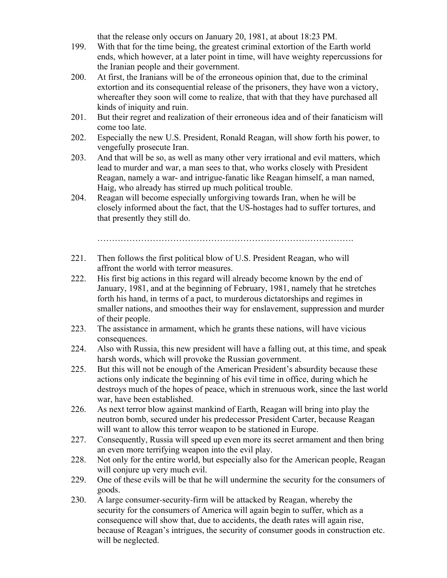that the release only occurs on January 20, 1981, at about 18:23 PM.

- 199. With that for the time being, the greatest criminal extortion of the Earth world ends, which however, at a later point in time, will have weighty repercussions for the Iranian people and their government.
- 200. At first, the Iranians will be of the erroneous opinion that, due to the criminal extortion and its consequential release of the prisoners, they have won a victory, whereafter they soon will come to realize, that with that they have purchased all kinds of iniquity and ruin.
- 201. But their regret and realization of their erroneous idea and of their fanaticism will come too late.
- 202. Especially the new U.S. President, Ronald Reagan, will show forth his power, to vengefully prosecute Iran.
- 203. And that will be so, as well as many other very irrational and evil matters, which lead to murder and war, a man sees to that, who works closely with President Reagan, namely a war- and intrigue-fanatic like Reagan himself, a man named, Haig, who already has stirred up much political trouble.
- 204. Reagan will become especially unforgiving towards Iran, when he will be closely informed about the fact, that the US-hostages had to suffer tortures, and that presently they still do.

…………………………………………………………………………….

- 221. Then follows the first political blow of U.S. President Reagan, who will affront the world with terror measures.
- 222. His first big actions in this regard will already become known by the end of January, 1981, and at the beginning of February, 1981, namely that he stretches forth his hand, in terms of a pact, to murderous dictatorships and regimes in smaller nations, and smoothes their way for enslavement, suppression and murder of their people.
- 223. The assistance in armament, which he grants these nations, will have vicious consequences.
- 224. Also with Russia, this new president will have a falling out, at this time, and speak harsh words, which will provoke the Russian government.
- 225. But this will not be enough of the American President's absurdity because these actions only indicate the beginning of his evil time in office, during which he destroys much of the hopes of peace, which in strenuous work, since the last world war, have been established.
- 226. As next terror blow against mankind of Earth, Reagan will bring into play the neutron bomb, secured under his predecessor President Carter, because Reagan will want to allow this terror weapon to be stationed in Europe.
- 227. Consequently, Russia will speed up even more its secret armament and then bring an even more terrifying weapon into the evil play.
- 228. Not only for the entire world, but especially also for the American people, Reagan will conjure up very much evil.
- 229. One of these evils will be that he will undermine the security for the consumers of goods.
- 230. A large consumer-security-firm will be attacked by Reagan, whereby the security for the consumers of America will again begin to suffer, which as a consequence will show that, due to accidents, the death rates will again rise, because of Reagan's intrigues, the security of consumer goods in construction etc. will be neglected.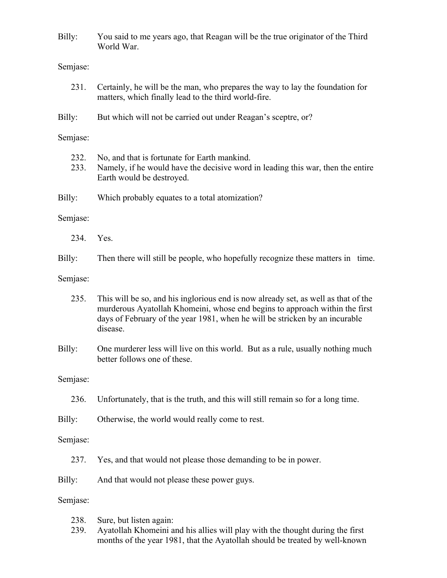Billy: You said to me years ago, that Reagan will be the true originator of the Third World War.

#### Semjase:

- 231. Certainly, he will be the man, who prepares the way to lay the foundation for matters, which finally lead to the third world-fire.
- Billy: But which will not be carried out under Reagan's sceptre, or?

#### Semjase:

- 232. No, and that is fortunate for Earth mankind.
- 233. Namely, if he would have the decisive word in leading this war, then the entire Earth would be destroyed.
- Billy: Which probably equates to a total atomization?

#### Semjase:

- 234. Yes.
- Billy: Then there will still be people, who hopefully recognize these matters in time.
- Semjase:
	- 235. This will be so, and his inglorious end is now already set, as well as that of the murderous Ayatollah Khomeini, whose end begins to approach within the first days of February of the year 1981, when he will be stricken by an incurable disease.
- Billy: One murderer less will live on this world. But as a rule, usually nothing much better follows one of these.

#### Semjase:

236. Unfortunately, that is the truth, and this will still remain so for a long time.

Billy: Otherwise, the world would really come to rest.

#### Semjase:

- 237. Yes, and that would not please those demanding to be in power.
- Billy: And that would not please these power guys.

- 238. Sure, but listen again:
- 239. Ayatollah Khomeini and his allies will play with the thought during the first months of the year 1981, that the Ayatollah should be treated by well-known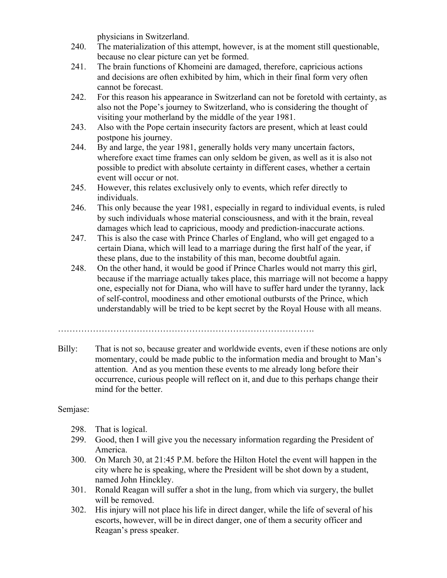physicians in Switzerland.

- 240. The materialization of this attempt, however, is at the moment still questionable, because no clear picture can yet be formed.
- 241. The brain functions of Khomeini are damaged, therefore, capricious actions and decisions are often exhibited by him, which in their final form very often cannot be forecast.
- 242. For this reason his appearance in Switzerland can not be foretold with certainty, as also not the Pope's journey to Switzerland, who is considering the thought of visiting your motherland by the middle of the year 1981.
- 243. Also with the Pope certain insecurity factors are present, which at least could postpone his journey.
- 244. By and large, the year 1981, generally holds very many uncertain factors, wherefore exact time frames can only seldom be given, as well as it is also not possible to predict with absolute certainty in different cases, whether a certain event will occur or not.
- 245. However, this relates exclusively only to events, which refer directly to individuals.
- 246. This only because the year 1981, especially in regard to individual events, is ruled by such individuals whose material consciousness, and with it the brain, reveal damages which lead to capricious, moody and prediction-inaccurate actions.
- 247. This is also the case with Prince Charles of England, who will get engaged to a certain Diana, which will lead to a marriage during the first half of the year, if these plans, due to the instability of this man, become doubtful again.
- 248. On the other hand, it would be good if Prince Charles would not marry this girl, because if the marriage actually takes place, this marriage will not become a happy one, especially not for Diana, who will have to suffer hard under the tyranny, lack of self-control, moodiness and other emotional outbursts of the Prince, which understandably will be tried to be kept secret by the Royal House with all means.

Billy: That is not so, because greater and worldwide events, even if these notions are only momentary, could be made public to the information media and brought to Man's attention. And as you mention these events to me already long before their occurrence, curious people will reflect on it, and due to this perhaps change their mind for the better.

- 298. That is logical.
- 299. Good, then I will give you the necessary information regarding the President of America.
- 300. On March 30, at 21:45 P.M. before the Hilton Hotel the event will happen in the city where he is speaking, where the President will be shot down by a student, named John Hinckley.
- 301. Ronald Reagan will suffer a shot in the lung, from which via surgery, the bullet will be removed.
- 302. His injury will not place his life in direct danger, while the life of several of his escorts, however, will be in direct danger, one of them a security officer and Reagan's press speaker.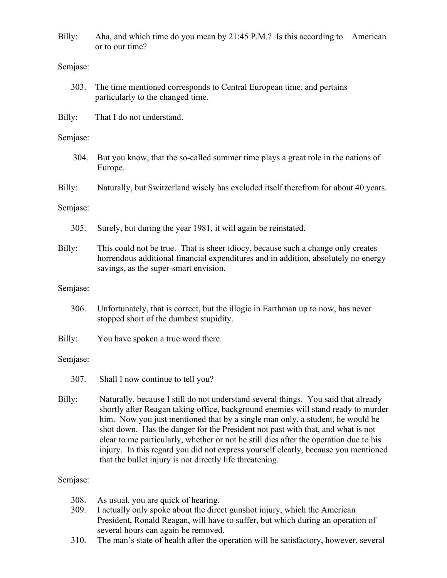Billy: Aha, and which time do you mean by 21:45 P.M.? Is this according to American or to our time?

## Semjase:

- 303. The time mentioned corresponds to Central European time, and pertains particularly to the changed time.
- Billy: That I do not understand.

## Semjase:

- 304. But you know, that the so-called summer time plays a great role in the nations of Europe.
- Billy: Naturally, but Switzerland wisely has excluded itself therefrom for about 40 years.

## Semjase:

- 305. Surely, but during the year 1981, it will again be reinstated.
- Billy: This could not be true. That is sheer idiocy, because such a change only creates horrendous additional financial expenditures and in addition, absolutely no energy savings, as the super-smart envision.

## Semjase:

- 306. Unfortunately, that is correct, but the illogic in Earthman up to now, has never stopped short of the dumbest stupidity.
- Billy: You have spoken a true word there.

## Semjase:

- 307. Shall I now continue to tell you?
- Billy: Naturally, because I still do not understand several things. You said that already shortly after Reagan taking office, background enemies will stand ready to murder him. Now you just mentioned that by a single man only, a student, he would be shot down. Has the danger for the President not past with that, and what is not clear to me particularly, whether or not he still dies after the operation due to his injury. In this regard you did not express yourself clearly, because you mentioned that the bullet injury is not directly life threatening.

- 308. As usual, you are quick of hearing.
- 309. I actually only spoke about the direct gunshot injury, which the American President, Ronald Reagan, will have to suffer, but which during an operation of several hours can again be removed.
- 310. The man's state of health after the operation will be satisfactory, however, several